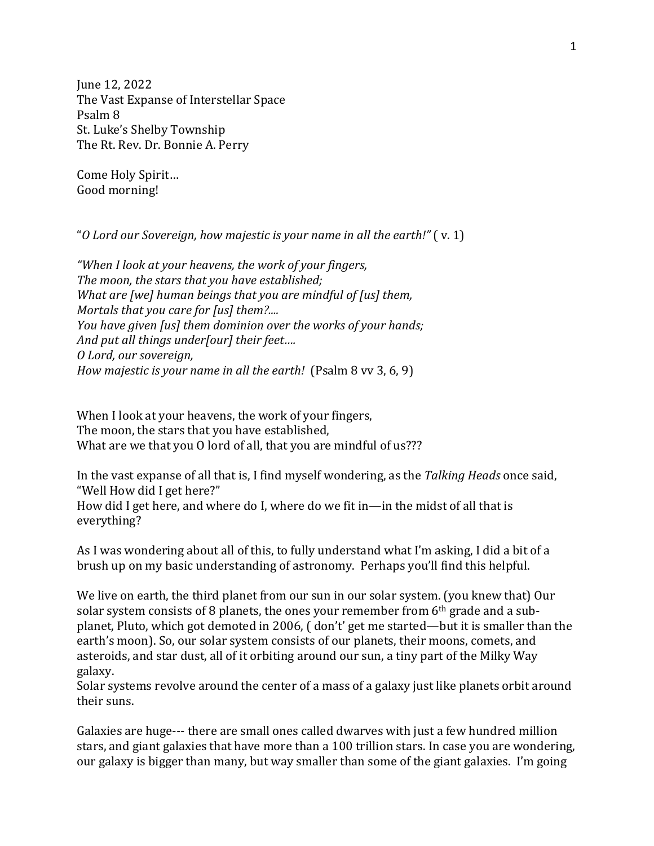June 12, 2022 The Vast Expanse of Interstellar Space Psalm 8 St. Luke's Shelby Township The Rt. Rev. Dr. Bonnie A. Perry

Come Holy Spirit… Good morning!

"*O Lord our Sovereign, how majestic is your name in all the earth!"* ( v. 1)

*"When I look at your heavens, the work of your fingers, The moon, the stars that you have established; What are [we] human beings that you are mindful of [us] them, Mortals that you care for [us] them?.... You have given [us] them dominion over the works of your hands; And put all things under[our] their feet…. O Lord, our sovereign, How majestic is your name in all the earth!* (Psalm 8 vv 3, 6, 9)

When I look at your heavens, the work of your fingers, The moon, the stars that you have established, What are we that you O lord of all, that you are mindful of us???

In the vast expanse of all that is, I find myself wondering, as the *Talking Heads* once said, "Well How did I get here?"

How did I get here, and where do I, where do we fit in—in the midst of all that is everything?

As I was wondering about all of this, to fully understand what I'm asking, I did a bit of a brush up on my basic understanding of astronomy. Perhaps you'll find this helpful.

We live on earth, the third planet from our sun in our solar system. (you knew that) Our solar system consists of 8 planets, the ones your remember from 6th grade and a subplanet, Pluto, which got demoted in 2006, ( don't' get me started—but it is smaller than the earth's moon). So, our solar system consists of our planets, their moons, comets, and asteroids, and star dust, all of it orbiting around our sun, a tiny part of the Milky Way galaxy.

Solar systems revolve around the center of a mass of a galaxy just like planets orbit around their suns.

Galaxies are huge--- there are small ones called dwarves with just a few hundred million stars, and giant galaxies that have more than a 100 trillion stars. In case you are wondering, our galaxy is bigger than many, but way smaller than some of the giant galaxies. I'm going